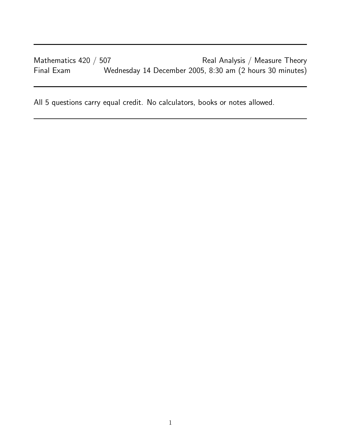Mathematics 420 / 507 **Real Analysis / Measure Theory** Final Exam Wednesday 14 December 2005, 8:30 am (2 hours 30 minutes)

All 5 questions carry equal credit. No calculators, books or notes allowed.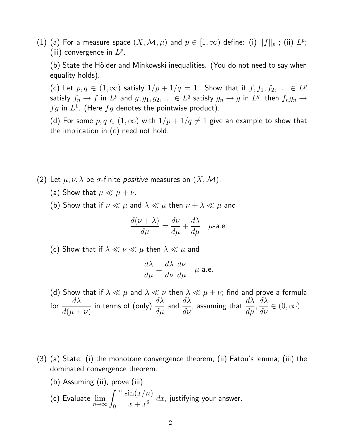(1) (a) For a measure space  $(X, \mathcal{M}, \mu)$  and  $p \in [1, \infty)$  define: (i)  $\|f\|_p$  ; (ii)  $L^p$ ; (iii) convergence in  $L^p$ .

(b) State the Hölder and Minkowski inequalities. (You do not need to say when equality holds).

(c) Let  $p, q \in (1, \infty)$  satisfy  $1/p + 1/q = 1$ . Show that if  $f, f_1, f_2, \ldots \in L^p$ satisfy  $f_n \to f$  in  $L^p$  and  $g, g_1, g_2, \ldots \in L^q$  satisfy  $g_n \to g$  in  $L^q$ , then  $f_ng_n \to g$  $fg$  in  $L^1$ . (Here  $fg$  denotes the pointwise product).

(d) For some  $p, q \in (1,\infty)$  with  $1/p + 1/q \neq 1$  give an example to show that the implication in (c) need not hold.

- (2) Let  $\mu, \nu, \lambda$  be  $\sigma$ -finite *positive* measures on  $(X, \mathcal{M})$ .
	- (a) Show that  $\mu \ll \mu + \nu$ .
	- (b) Show that if  $\nu \ll \mu$  and  $\lambda \ll \mu$  then  $\nu + \lambda \ll \mu$  and

$$
\frac{d(\nu + \lambda)}{d\mu} = \frac{d\nu}{d\mu} + \frac{d\lambda}{d\mu} \quad \mu\text{-a.e.}
$$

(c) Show that if  $\lambda \ll \nu \ll \mu$  then  $\lambda \ll \mu$  and

$$
\frac{d\lambda}{d\mu} = \frac{d\lambda}{d\nu} \frac{d\nu}{d\mu} \quad \mu\text{-a.e.}
$$

- (d) Show that if  $\lambda \ll \mu$  and  $\lambda \ll \nu$  then  $\lambda \ll \mu + \nu$ ; find and prove a formula for  $\frac{d\lambda}{d\lambda}$  $d(\mu+\nu)$ in terms of (only)  $\displaystyle{\frac{d\lambda}{d\mu}}$  and  $\displaystyle{\frac{d\lambda}{d\nu}}$ , assuming that  $\displaystyle{\frac{d\lambda}{d\mu}},$  $d\lambda$  $\frac{d\mathcal{U}}{d\mathcal{V}}\in (0,\infty).$
- (3) (a) State: (i) the monotone convergence theorem; (ii) Fatou's lemma; (iii) the dominated convergence theorem.

\n- (b) Assuming (ii), prove (iii).
\n- (c) Evaluate 
$$
\lim_{n \to \infty} \int_0^\infty \frac{\sin(x/n)}{x + x^2} \, dx
$$
, justifying your answer.
\n